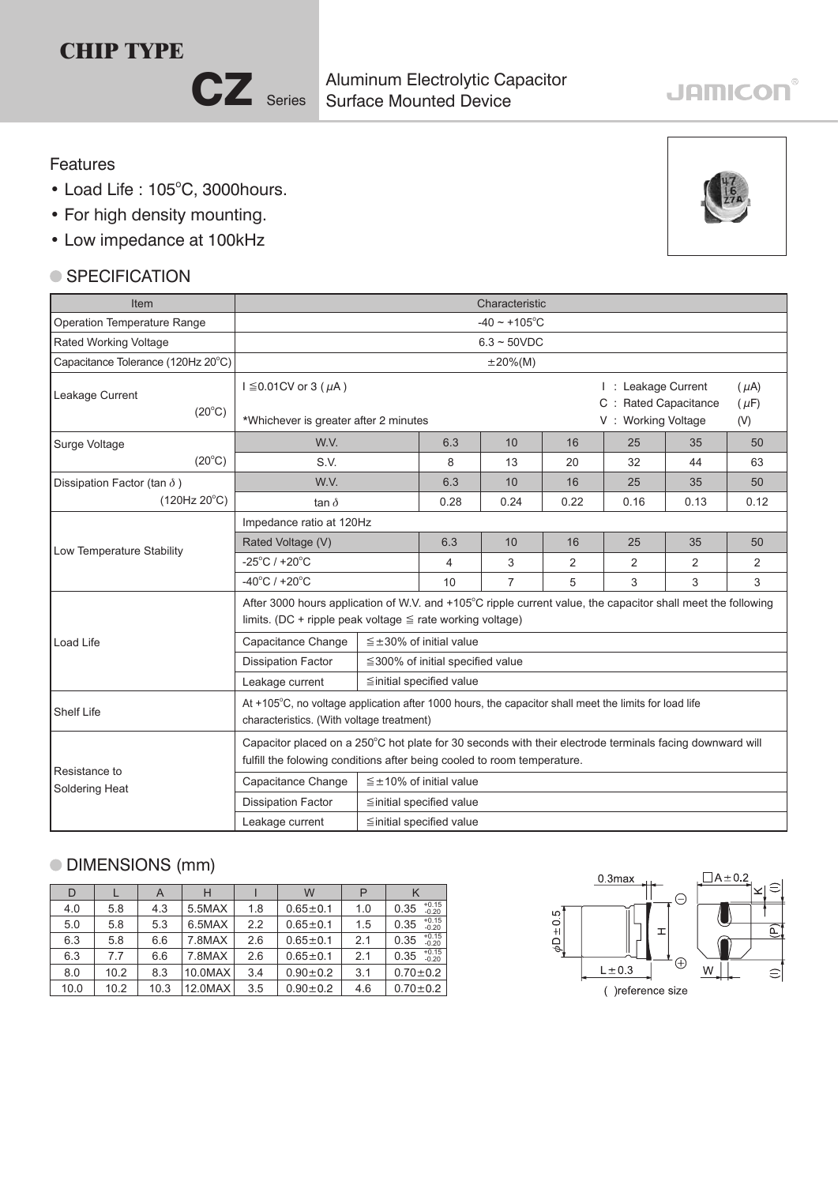# **CHIP TYPE**

CZ Series

Surface Mounted Device Aluminum Electrolytic Capacitor

# **JAMICON®**

#### Features

- $\bullet$  Load Life: 105 $^{\circ}$ C, 3000hours.
- For high density mounting.
- Low impedance at 100kHz

### ● SPECIFICATION

| Item                               | Characteristic                                                                                                                                                                      |  |                                        |                |                                                                                                    |      |      |      |  |  |  |  |  |
|------------------------------------|-------------------------------------------------------------------------------------------------------------------------------------------------------------------------------------|--|----------------------------------------|----------------|----------------------------------------------------------------------------------------------------|------|------|------|--|--|--|--|--|
| Operation Temperature Range        | $-40 \sim +105$ °C                                                                                                                                                                  |  |                                        |                |                                                                                                    |      |      |      |  |  |  |  |  |
| Rated Working Voltage              | $6.3 \sim 50$ VDC                                                                                                                                                                   |  |                                        |                |                                                                                                    |      |      |      |  |  |  |  |  |
| Capacitance Tolerance (120Hz 20°C) | $\pm 20\%$ (M)                                                                                                                                                                      |  |                                        |                |                                                                                                    |      |      |      |  |  |  |  |  |
| Leakage Current<br>$(20^{\circ}C)$ | $I \leq 0.01$ CV or 3 ( $\mu$ A)<br>*Whichever is greater after 2 minutes                                                                                                           |  |                                        |                | I: Leakage Current<br>$(\mu A)$<br>C : Rated Capacitance<br>$(\mu F)$<br>V: Working Voltage<br>(V) |      |      |      |  |  |  |  |  |
| Surge Voltage                      | W.V.                                                                                                                                                                                |  | 6.3                                    | 10             | 16                                                                                                 | 25   | 35   | 50   |  |  |  |  |  |
| $(20^{\circ}C)$                    | S.V.                                                                                                                                                                                |  | 8                                      | 13             | 20                                                                                                 | 32   | 44   | 63   |  |  |  |  |  |
| Dissipation Factor (tan $\delta$ ) | W.V.                                                                                                                                                                                |  | 6.3                                    | 10             | 16                                                                                                 | 25   | 35   | 50   |  |  |  |  |  |
| $(120Hz 20^{\circ}C)$              | tan $\delta$                                                                                                                                                                        |  | 0.28                                   | 0.24           | 0.22                                                                                               | 0.16 | 0.13 | 0.12 |  |  |  |  |  |
|                                    | Impedance ratio at 120Hz                                                                                                                                                            |  |                                        |                |                                                                                                    |      |      |      |  |  |  |  |  |
| Low Temperature Stability          | Rated Voltage (V)                                                                                                                                                                   |  | 6.3                                    | 10             | 16                                                                                                 | 25   | 35   | 50   |  |  |  |  |  |
|                                    | $-25^{\circ}$ C / +20 $^{\circ}$ C                                                                                                                                                  |  | 4                                      | 3              | 2                                                                                                  | 2    | 2    | 2    |  |  |  |  |  |
|                                    | $-40^{\circ}$ C / +20 $^{\circ}$ C                                                                                                                                                  |  | 10                                     | $\overline{7}$ | 5                                                                                                  | 3    | 3    | 3    |  |  |  |  |  |
|                                    | After 3000 hours application of W.V. and +105°C ripple current value, the capacitor shall meet the following<br>limits. (DC + ripple peak voltage $\leq$ rate working voltage)      |  |                                        |                |                                                                                                    |      |      |      |  |  |  |  |  |
| Load Life                          | Capacitance Change                                                                                                                                                                  |  | $\leq \pm 30\%$ of initial value       |                |                                                                                                    |      |      |      |  |  |  |  |  |
|                                    | <b>Dissipation Factor</b>                                                                                                                                                           |  | $\leq$ 300% of initial specified value |                |                                                                                                    |      |      |      |  |  |  |  |  |
|                                    | Leakage current                                                                                                                                                                     |  |                                        |                |                                                                                                    |      |      |      |  |  |  |  |  |
| <b>Shelf Life</b>                  | At +105°C, no voltage application after 1000 hours, the capacitor shall meet the limits for load life<br>characteristics. (With voltage treatment)                                  |  |                                        |                |                                                                                                    |      |      |      |  |  |  |  |  |
| Resistance to                      | Capacitor placed on a 250°C hot plate for 30 seconds with their electrode terminals facing downward will<br>fulfill the folowing conditions after being cooled to room temperature. |  |                                        |                |                                                                                                    |      |      |      |  |  |  |  |  |
| Soldering Heat                     | Capacitance Change                                                                                                                                                                  |  |                                        |                |                                                                                                    |      |      |      |  |  |  |  |  |
|                                    | <b>Dissipation Factor</b><br>≦initial specified value                                                                                                                               |  |                                        |                |                                                                                                    |      |      |      |  |  |  |  |  |
|                                    | Leakage current<br>≦initial specified value                                                                                                                                         |  |                                        |                |                                                                                                    |      |      |      |  |  |  |  |  |

## DIMENSIONS (mm)

| D    |      | A    | н          |     | W              |     |                            |
|------|------|------|------------|-----|----------------|-----|----------------------------|
| 4.0  | 5.8  | 4.3  | 5.5MAX     | 1.8 | $0.65 + 0.1$   | 1.0 | $+0.15$<br>$-0.20$<br>0.35 |
| 5.0  | 5.8  | 5.3  | 6.5MAX     | 2.2 | $0.65 \pm 0.1$ | 1.5 | $+0.15$<br>0.35<br>$-0.20$ |
| 6.3  | 5.8  | 6.6  | 7.8MAX     | 2.6 | $0.65 \pm 0.1$ | 2.1 | $+0.15$<br>$-0.20$<br>0.35 |
| 6.3  | 7.7  | 6.6  | 7.8MAX     | 2.6 | $0.65 \pm 0.1$ | 2.1 | $+0.15$<br>$-0.20$<br>0.35 |
| 8.0  | 10.2 | 8.3  | $10.0$ MAX | 3.4 | $0.90 + 0.2$   | 3.1 | $0.70 \pm 0.2$             |
| 10.0 | 10.2 | 10.3 | 12.0MAX    | 3.5 | $0.90 + 0.2$   | 4.6 | $0.70 \pm 0.2$             |